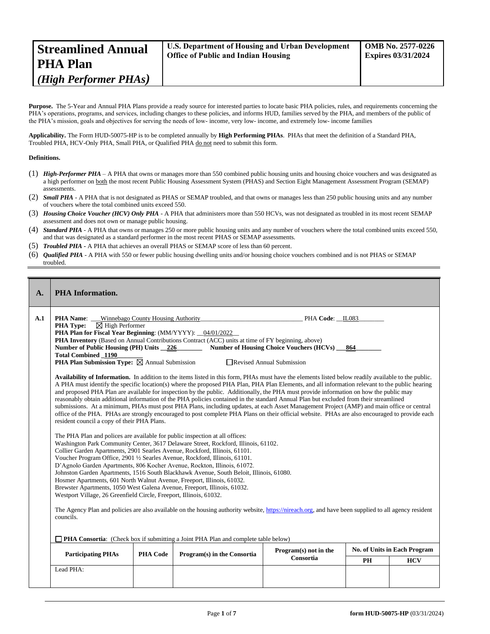| <b>Streamlined Annual</b> | U.S. Department of Housing and Urban Development | <b>OMB No. 2577-0226</b>  |
|---------------------------|--------------------------------------------------|---------------------------|
| <b>PHA Plan</b>           | <b>Office of Public and Indian Housing</b>       | <b>Expires 03/31/2024</b> |
| (High Performer PHAs)     |                                                  |                           |

Purpose. The 5-Year and Annual PHA Plans provide a ready source for interested parties to locate basic PHA policies, rules, and requirements concerning the PHA's operations, programs, and services, including changes to these policies, and informs HUD, families served by the PHA, and members of the public of the PHA's mission, goals and objectives for serving the needs of low- income, very low- income, and extremely low- income families

**Applicability.** The Form HUD-50075-HP is to be completed annually by **High Performing PHAs**. PHAs that meet the definition of a Standard PHA, Troubled PHA, HCV-Only PHA, Small PHA, or Qualified PHA do not need to submit this form.

# **Definitions.**

- (1) *High-Performer PHA* A PHA that owns or manages more than 550 combined public housing units and housing choice vouchers and was designated as a high performer on both the most recent Public Housing Assessment System (PHAS) and Section Eight Management Assessment Program (SEMAP) assessments.
- (2) *Small PHA* A PHA that is not designated as PHAS or SEMAP troubled, and that owns or manages less than 250 public housing units and any number of vouchers where the total combined units exceed 550.
- (3) *Housing Choice Voucher (HCV) Only PHA* A PHA that administers more than 550 HCVs, was not designated as troubled in its most recent SEMAP assessment and does not own or manage public housing.
- (4) *Standard PHA* A PHA that owns or manages 250 or more public housing units and any number of vouchers where the total combined units exceed 550, and that was designated as a standard performer in the most recent PHAS or SEMAP assessments.
- (5) *Troubled PHA* **-** A PHA that achieves an overall PHAS or SEMAP score of less than 60 percent.
- (6) *Qualified PHA* A PHA with 550 or fewer public housing dwelling units and/or housing choice vouchers combined and is not PHAS or SEMAP troubled.

| $\mathbf{A}$ .                                                                     | <b>PHA</b> Information.                                                                                                                                                                                                                                                                                                                                                                                                                                                                                                                                                                                                                                                                                                                                                                                                                            |                 |                                                                                                                                                                                                                                                                                                                                                                                                                                                                                                                                                                                                                                                                                                                                                                                                                                                                                                                                                                                                                                                                                                                                                                                                                                                                                                                                                                                                                      |                                                                                          |     |            |
|------------------------------------------------------------------------------------|----------------------------------------------------------------------------------------------------------------------------------------------------------------------------------------------------------------------------------------------------------------------------------------------------------------------------------------------------------------------------------------------------------------------------------------------------------------------------------------------------------------------------------------------------------------------------------------------------------------------------------------------------------------------------------------------------------------------------------------------------------------------------------------------------------------------------------------------------|-----------------|----------------------------------------------------------------------------------------------------------------------------------------------------------------------------------------------------------------------------------------------------------------------------------------------------------------------------------------------------------------------------------------------------------------------------------------------------------------------------------------------------------------------------------------------------------------------------------------------------------------------------------------------------------------------------------------------------------------------------------------------------------------------------------------------------------------------------------------------------------------------------------------------------------------------------------------------------------------------------------------------------------------------------------------------------------------------------------------------------------------------------------------------------------------------------------------------------------------------------------------------------------------------------------------------------------------------------------------------------------------------------------------------------------------------|------------------------------------------------------------------------------------------|-----|------------|
| A.1                                                                                | <b>PHA Name:</b> Winnebago County Housing Authority<br>$\boxtimes$ High Performer<br><b>PHA Type:</b><br>PHA Plan for Fiscal Year Beginning: (MM/YYYY): _04/01/2022_<br>Number of Public Housing (PH) Units 226<br><b>Total Combined 1190</b><br><b>PHA Plan Submission Type:</b> $\boxtimes$ Annual Submission<br>resident council a copy of their PHA Plans.<br>The PHA Plan and polices are available for public inspection at all offices:<br>Collier Garden Apartments, 2901 Searles Avenue, Rockford, Illinois, 61101.<br>Voucher Program Office, 2901 ½ Searles Avenue, Rockford, Illinois, 61101.<br>Hosmer Apartments, 601 North Walnut Avenue, Freeport, Illinois, 61032.<br>Brewster Apartments, 1050 West Galena Avenue, Freeport, Illinois, 61032.<br>Westport Village, 26 Greenfield Circle, Freeport, Illinois, 61032.<br>councils. |                 | PHA Inventory (Based on Annual Contributions Contract (ACC) units at time of FY beginning, above)<br>Availability of Information. In addition to the items listed in this form, PHAs must have the elements listed below readily available to the public.<br>A PHA must identify the specific location(s) where the proposed PHA Plan, PHA Plan Elements, and all information relevant to the public hearing<br>and proposed PHA Plan are available for inspection by the public. Additionally, the PHA must provide information on how the public may<br>reasonably obtain additional information of the PHA policies contained in the standard Annual Plan but excluded from their streamlined<br>submissions. At a minimum, PHAs must post PHA Plans, including updates, at each Asset Management Project (AMP) and main office or central<br>office of the PHA. PHAs are strongly encouraged to post complete PHA Plans on their official website. PHAs are also encouraged to provide each<br>Washington Park Community Center, 3617 Delaware Street, Rockford, Illinois, 61102.<br>D'Agnolo Garden Apartments, 806 Kocher Avenue, Rockton, Illinois, 61072.<br>Johnston Garden Apartments, 1516 South Blackhawk Avenue, South Beloit, Illinois, 61080.<br>The Agency Plan and policies are also available on the housing authority website, https://nireach.org, and have been supplied to all agency resident | PHA Code: IL083<br>Number of Housing Choice Vouchers (HCVs)<br>Revised Annual Submission | 864 |            |
| PHA Consortia: (Check box if submitting a Joint PHA Plan and complete table below) |                                                                                                                                                                                                                                                                                                                                                                                                                                                                                                                                                                                                                                                                                                                                                                                                                                                    |                 |                                                                                                                                                                                                                                                                                                                                                                                                                                                                                                                                                                                                                                                                                                                                                                                                                                                                                                                                                                                                                                                                                                                                                                                                                                                                                                                                                                                                                      | No. of Units in Each Program                                                             |     |            |
|                                                                                    | <b>Participating PHAs</b>                                                                                                                                                                                                                                                                                                                                                                                                                                                                                                                                                                                                                                                                                                                                                                                                                          | <b>PHA Code</b> | Program(s) in the Consortia                                                                                                                                                                                                                                                                                                                                                                                                                                                                                                                                                                                                                                                                                                                                                                                                                                                                                                                                                                                                                                                                                                                                                                                                                                                                                                                                                                                          | Program(s) not in the<br>Consortia                                                       | PH  | <b>HCV</b> |
|                                                                                    | Lead PHA:                                                                                                                                                                                                                                                                                                                                                                                                                                                                                                                                                                                                                                                                                                                                                                                                                                          |                 |                                                                                                                                                                                                                                                                                                                                                                                                                                                                                                                                                                                                                                                                                                                                                                                                                                                                                                                                                                                                                                                                                                                                                                                                                                                                                                                                                                                                                      |                                                                                          |     |            |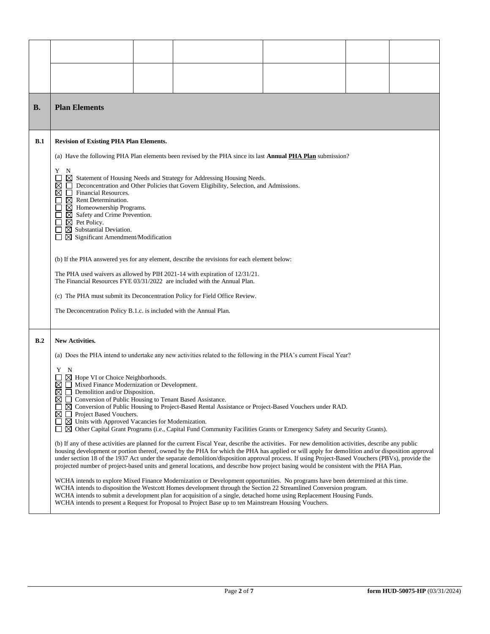| В.  | <b>Plan Elements</b>                                                                                                                                                                                                                                                                                                                                                                                                                                                                                                                                                                                                                                                                                                                                                                                                                                                                                                                                                                                                                                                                                                                                                                                                                                                                                                                                                                                                                                                                                                                                                                                                                                                                                                                                                                                                                                       |  |                                                                                                                    |  |  |
|-----|------------------------------------------------------------------------------------------------------------------------------------------------------------------------------------------------------------------------------------------------------------------------------------------------------------------------------------------------------------------------------------------------------------------------------------------------------------------------------------------------------------------------------------------------------------------------------------------------------------------------------------------------------------------------------------------------------------------------------------------------------------------------------------------------------------------------------------------------------------------------------------------------------------------------------------------------------------------------------------------------------------------------------------------------------------------------------------------------------------------------------------------------------------------------------------------------------------------------------------------------------------------------------------------------------------------------------------------------------------------------------------------------------------------------------------------------------------------------------------------------------------------------------------------------------------------------------------------------------------------------------------------------------------------------------------------------------------------------------------------------------------------------------------------------------------------------------------------------------------|--|--------------------------------------------------------------------------------------------------------------------|--|--|
| B.1 | <b>Revision of Existing PHA Plan Elements.</b>                                                                                                                                                                                                                                                                                                                                                                                                                                                                                                                                                                                                                                                                                                                                                                                                                                                                                                                                                                                                                                                                                                                                                                                                                                                                                                                                                                                                                                                                                                                                                                                                                                                                                                                                                                                                             |  |                                                                                                                    |  |  |
|     |                                                                                                                                                                                                                                                                                                                                                                                                                                                                                                                                                                                                                                                                                                                                                                                                                                                                                                                                                                                                                                                                                                                                                                                                                                                                                                                                                                                                                                                                                                                                                                                                                                                                                                                                                                                                                                                            |  | (a) Have the following PHA Plan elements been revised by the PHA since its last <b>Annual PHA Plan</b> submission? |  |  |
|     | Y<br>N<br>⊠<br>Statement of Housing Needs and Strategy for Addressing Housing Needs.<br>Deconcentration and Other Policies that Govern Eligibility, Selection, and Admissions.<br>⊠<br>Financial Resources.<br>⋈<br>$\perp$<br>$\boxtimes$ Rent Determination.<br>$\boxtimes$ Homeownership Programs.<br>$\boxtimes$ Safety and Crime Prevention.<br>$\boxtimes$ Pet Policy.<br>$\boxtimes$ Substantial Deviation.<br>$\boxtimes$ Significant Amendment/Modification<br>(b) If the PHA answered yes for any element, describe the revisions for each element below:<br>The PHA used waivers as allowed by PIH 2021-14 with expiration of 12/31/21.<br>The Financial Resources FYE 03/31/2022 are included with the Annual Plan.                                                                                                                                                                                                                                                                                                                                                                                                                                                                                                                                                                                                                                                                                                                                                                                                                                                                                                                                                                                                                                                                                                                            |  |                                                                                                                    |  |  |
|     |                                                                                                                                                                                                                                                                                                                                                                                                                                                                                                                                                                                                                                                                                                                                                                                                                                                                                                                                                                                                                                                                                                                                                                                                                                                                                                                                                                                                                                                                                                                                                                                                                                                                                                                                                                                                                                                            |  | (c) The PHA must submit its Deconcentration Policy for Field Office Review.                                        |  |  |
|     | The Deconcentration Policy B.1.c. is included with the Annual Plan.                                                                                                                                                                                                                                                                                                                                                                                                                                                                                                                                                                                                                                                                                                                                                                                                                                                                                                                                                                                                                                                                                                                                                                                                                                                                                                                                                                                                                                                                                                                                                                                                                                                                                                                                                                                        |  |                                                                                                                    |  |  |
| B.2 | <b>New Activities.</b><br>(a) Does the PHA intend to undertake any new activities related to the following in the PHA's current Fiscal Year?<br>Y N<br>$\boxtimes$ Hope VI or Choice Neighborhoods.<br>Mixed Finance Modernization or Development.<br>⊠<br>Demolition and/or Disposition.<br>⊠<br>⊠<br>Conversion of Public Housing to Tenant Based Assistance.<br>$\Box$<br>$\boxtimes$ Conversion of Public Housing to Project-Based Rental Assistance or Project-Based Vouchers under RAD.<br>⊠<br>Project Based Vouchers.<br>$\mathbf{L}$<br>$\boxtimes$ Units with Approved Vacancies for Modernization.<br>ப<br>$\boxtimes$ Other Capital Grant Programs (i.e., Capital Fund Community Facilities Grants or Emergency Safety and Security Grants).<br>(b) If any of these activities are planned for the current Fiscal Year, describe the activities. For new demolition activities, describe any public<br>housing development or portion thereof, owned by the PHA for which the PHA has applied or will apply for demolition and/or disposition approval<br>under section 18 of the 1937 Act under the separate demolition/disposition approval process. If using Project-Based Vouchers (PBVs), provide the<br>projected number of project-based units and general locations, and describe how project basing would be consistent with the PHA Plan.<br>WCHA intends to explore Mixed Finance Modernization or Development opportunities. No programs have been determined at this time.<br>WCHA intends to disposition the Westcott Homes development through the Section 22 Streamlined Conversion program.<br>WCHA intends to submit a development plan for acquisition of a single, detached home using Replacement Housing Funds.<br>WCHA intends to present a Request for Proposal to Project Base up to ten Mainstream Housing Vouchers. |  |                                                                                                                    |  |  |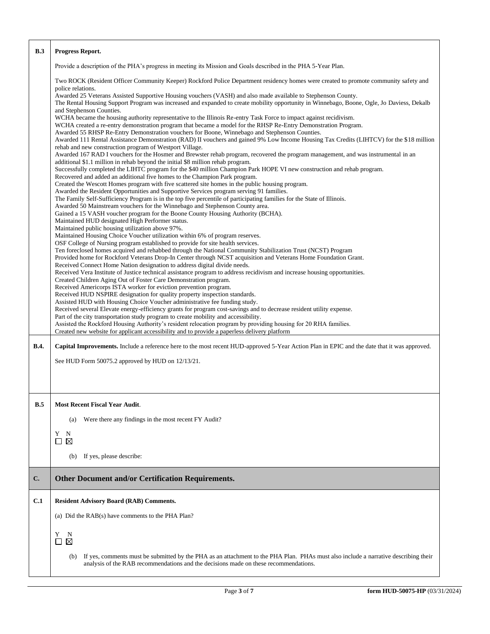| B.3          | <b>Progress Report.</b>                                                                                                                                                                                                                                                                                                                   |
|--------------|-------------------------------------------------------------------------------------------------------------------------------------------------------------------------------------------------------------------------------------------------------------------------------------------------------------------------------------------|
|              | Provide a description of the PHA's progress in meeting its Mission and Goals described in the PHA 5-Year Plan.                                                                                                                                                                                                                            |
|              | Two ROCK (Resident Officer Community Keeper) Rockford Police Department residency homes were created to promote community safety and<br>police relations.                                                                                                                                                                                 |
|              | Awarded 25 Veterans Assisted Supportive Housing vouchers (VASH) and also made available to Stephenson County.<br>The Rental Housing Support Program was increased and expanded to create mobility opportunity in Winnebago, Boone, Ogle, Jo Daviess, Dekalb<br>and Stephenson Counties.                                                   |
|              | WCHA became the housing authority representative to the Illinois Re-entry Task Force to impact against recidivism.<br>WCHA created a re-entry demonstration program that became a model for the RHSP Re-Entry Demonstration Program.<br>Awarded 55 RHSP Re-Entry Demonstration vouchers for Boone, Winnebago and Stephenson Counties.     |
|              | Awarded 111 Rental Assistance Demonstration (RAD) II vouchers and gained 9% Low Income Housing Tax Credits (LIHTCV) for the \$18 million<br>rehab and new construction program of Westport Village.<br>Awarded 167 RAD I vouchers for the Hosmer and Brewster rehab program, recovered the program management, and was instrumental in an |
|              | additional \$1.1 million in rehab beyond the initial \$8 million rehab program.<br>Successfully completed the LIHTC program for the \$40 million Champion Park HOPE VI new construction and rehab program.                                                                                                                                |
|              | Recovered and added an additional five homes to the Champion Park program.<br>Created the Wescott Homes program with five scattered site homes in the public housing program.                                                                                                                                                             |
|              | Awarded the Resident Opportunities and Supportive Services program serving 91 families.<br>The Family Self-Sufficiency Program is in the top five percentile of participating families for the State of Illinois.                                                                                                                         |
|              | Awarded 50 Mainstream vouchers for the Winnebago and Stephenson County area.<br>Gained a 15 VASH voucher program for the Boone County Housing Authority (BCHA).                                                                                                                                                                           |
|              | Maintained HUD designated High Performer status.<br>Maintained public housing utilization above 97%.                                                                                                                                                                                                                                      |
|              | Maintained Housing Choice Voucher utilization within 6% of program reserves.<br>OSF College of Nursing program established to provide for site health services.                                                                                                                                                                           |
|              | Ten foreclosed homes acquired and rehabbed through the National Community Stabilization Trust (NCST) Program<br>Provided home for Rockford Veterans Drop-In Center through NCST acquisition and Veterans Home Foundation Grant.                                                                                                           |
|              | Received Connect Home Nation designation to address digital divide needs.<br>Received Vera Institute of Justice technical assistance program to address recidivism and increase housing opportunities.                                                                                                                                    |
|              | Created Children Aging Out of Foster Care Demonstration program.<br>Received Americorps ISTA worker for eviction prevention program.                                                                                                                                                                                                      |
|              | Received HUD NSPIRE designation for quality property inspection standards.                                                                                                                                                                                                                                                                |
|              | Assisted HUD with Housing Choice Voucher administrative fee funding study.<br>Received several Elevate energy-efficiency grants for program cost-savings and to decrease resident utility expense.                                                                                                                                        |
|              | Part of the city transportation study program to create mobility and accessibility.<br>Assisted the Rockford Housing Authority's resident relocation program by providing housing for 20 RHA families.                                                                                                                                    |
|              | Created new website for applicant accessibility and to provide a paperless delivery platform                                                                                                                                                                                                                                              |
| <b>B.4.</b>  | <b>Capital Improvements.</b> Include a reference here to the most recent HUD-approved 5-Year Action Plan in EPIC and the date that it was approved.                                                                                                                                                                                       |
|              | See HUD Form 50075.2 approved by HUD on 12/13/21.                                                                                                                                                                                                                                                                                         |
|              |                                                                                                                                                                                                                                                                                                                                           |
|              |                                                                                                                                                                                                                                                                                                                                           |
| B.5          | <b>Most Recent Fiscal Year Audit</b>                                                                                                                                                                                                                                                                                                      |
|              | Were there any findings in the most recent FY Audit?<br>(a)                                                                                                                                                                                                                                                                               |
|              | N<br>Y<br>$\boxtimes$<br>□                                                                                                                                                                                                                                                                                                                |
|              | If yes, please describe:<br>(b)                                                                                                                                                                                                                                                                                                           |
| $\mathbf{C}$ | <b>Other Document and/or Certification Requirements.</b>                                                                                                                                                                                                                                                                                  |
| C.1          | <b>Resident Advisory Board (RAB) Comments.</b>                                                                                                                                                                                                                                                                                            |
|              | (a) Did the RAB(s) have comments to the PHA Plan?                                                                                                                                                                                                                                                                                         |
|              |                                                                                                                                                                                                                                                                                                                                           |
|              | N<br>Y<br>$\boxtimes$<br>$\Box$                                                                                                                                                                                                                                                                                                           |
|              | If yes, comments must be submitted by the PHA as an attachment to the PHA Plan. PHAs must also include a narrative describing their<br>(b)<br>analysis of the RAB recommendations and the decisions made on these recommendations.                                                                                                        |
|              |                                                                                                                                                                                                                                                                                                                                           |

H

٦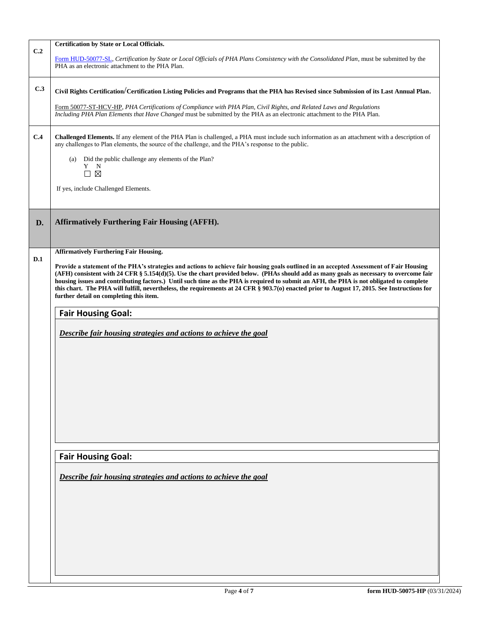|                           | <b>Certification by State or Local Officials.</b>                                                                                                                                                                                                                                                                                                                                                                                                                                                                                                                                                                                                                                                                         |  |  |  |  |  |
|---------------------------|---------------------------------------------------------------------------------------------------------------------------------------------------------------------------------------------------------------------------------------------------------------------------------------------------------------------------------------------------------------------------------------------------------------------------------------------------------------------------------------------------------------------------------------------------------------------------------------------------------------------------------------------------------------------------------------------------------------------------|--|--|--|--|--|
| C.2                       | Form HUD-50077-SL, Certification by State or Local Officials of PHA Plans Consistency with the Consolidated Plan, must be submitted by the<br>PHA as an electronic attachment to the PHA Plan.                                                                                                                                                                                                                                                                                                                                                                                                                                                                                                                            |  |  |  |  |  |
| C.3                       | Civil Rights Certification/Certification Listing Policies and Programs that the PHA has Revised since Submission of its Last Annual Plan.                                                                                                                                                                                                                                                                                                                                                                                                                                                                                                                                                                                 |  |  |  |  |  |
|                           |                                                                                                                                                                                                                                                                                                                                                                                                                                                                                                                                                                                                                                                                                                                           |  |  |  |  |  |
|                           | Form 50077-ST-HCV-HP, PHA Certifications of Compliance with PHA Plan, Civil Rights, and Related Laws and Regulations<br>Including PHA Plan Elements that Have Changed must be submitted by the PHA as an electronic attachment to the PHA Plan.                                                                                                                                                                                                                                                                                                                                                                                                                                                                           |  |  |  |  |  |
| C.4                       | Challenged Elements. If any element of the PHA Plan is challenged, a PHA must include such information as an attachment with a description of<br>any challenges to Plan elements, the source of the challenge, and the PHA's response to the public.                                                                                                                                                                                                                                                                                                                                                                                                                                                                      |  |  |  |  |  |
|                           | (a) Did the public challenge any elements of the Plan?<br>Y N<br>$\square \boxtimes$                                                                                                                                                                                                                                                                                                                                                                                                                                                                                                                                                                                                                                      |  |  |  |  |  |
|                           | If yes, include Challenged Elements.                                                                                                                                                                                                                                                                                                                                                                                                                                                                                                                                                                                                                                                                                      |  |  |  |  |  |
| D.                        | <b>Affirmatively Furthering Fair Housing (AFFH).</b>                                                                                                                                                                                                                                                                                                                                                                                                                                                                                                                                                                                                                                                                      |  |  |  |  |  |
|                           | <b>Affirmatively Furthering Fair Housing.</b>                                                                                                                                                                                                                                                                                                                                                                                                                                                                                                                                                                                                                                                                             |  |  |  |  |  |
| D.1                       | Provide a statement of the PHA's strategies and actions to achieve fair housing goals outlined in an accepted Assessment of Fair Housing<br>(AFH) consistent with 24 CFR § 5.154(d)(5). Use the chart provided below. (PHAs should add as many goals as necessary to overcome fair<br>housing issues and contributing factors.) Until such time as the PHA is required to submit an AFH, the PHA is not obligated to complete<br>this chart. The PHA will fulfill, nevertheless, the requirements at 24 CFR § 903.7(o) enacted prior to August 17, 2015. See Instructions for<br>further detail on completing this item.<br><b>Fair Housing Goal:</b><br>Describe fair housing strategies and actions to achieve the goal |  |  |  |  |  |
| <b>Fair Housing Goal:</b> |                                                                                                                                                                                                                                                                                                                                                                                                                                                                                                                                                                                                                                                                                                                           |  |  |  |  |  |
|                           |                                                                                                                                                                                                                                                                                                                                                                                                                                                                                                                                                                                                                                                                                                                           |  |  |  |  |  |
|                           | Describe fair housing strategies and actions to achieve the goal                                                                                                                                                                                                                                                                                                                                                                                                                                                                                                                                                                                                                                                          |  |  |  |  |  |
|                           |                                                                                                                                                                                                                                                                                                                                                                                                                                                                                                                                                                                                                                                                                                                           |  |  |  |  |  |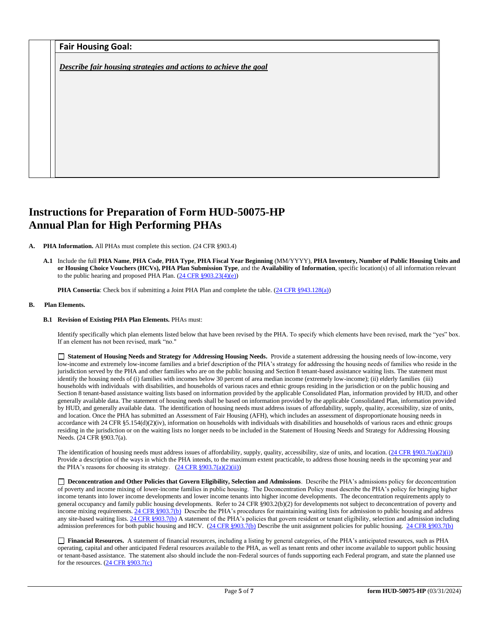|  |  | Fair Housing Goal: |  |
|--|--|--------------------|--|
|--|--|--------------------|--|

*Describe fair housing strategies and actions to achieve the goal* 

# **Instructions for Preparation of Form HUD-50075-HP Annual Plan for High Performing PHAs**

**A. PHA Information.** All PHAs must complete this section. (24 CFR §903.4)

**A.1** Include the full **PHA Name**, **PHA Code**, **PHA Type**, **PHA Fiscal Year Beginning** (MM/YYYY), **PHA Inventory, Number of Public Housing Units and or Housing Choice Vouchers (HCVs), PHA Plan Submission Type**, and the **Availability of Information**, specific location(s) of all information relevant to the public hearing and proposed PHA Plan. [\(24 CFR §903.23\(4\)\(e\)\)](http://ecfr.gpoaccess.gov/cgi/t/text/text-idx?c=ecfr&sid=13734845220744370804c20da2294a03&rgn=div5&view=text&node=24:4.0.3.1.3&idno=24#24:4.0.3.1.3.2.5.14)

**PHA Consortia**: Check box if submitting a Joint PHA Plan and complete the table. [\(24 CFR §943.128\(a\)\)](http://ecfr.gpoaccess.gov/cgi/t/text/text-idx?c=ecfr&sid=cc31cf1c3a2b84ba4ead75d35d258f67&rgn=div5&view=text&node=24:4.0.3.1.10&idno=24#24:4.0.3.1.10.2.5.7)

# **B. Plan Elements.**

### **B.1 Revision of Existing PHA Plan Elements.** PHAs must:

Identify specifically which plan elements listed below that have been revised by the PHA. To specify which elements have been revised, mark the "yes" box. If an element has not been revised, mark "no."

 **Statement of Housing Needs and Strategy for Addressing Housing Needs.** Provide a statement addressing the housing needs of low-income, very low-income and extremely low-income families and a brief description of the PHA's strategy for addressing the housing needs of families who reside in the jurisdiction served by the PHA and other families who are on the public housing and Section 8 tenant-based assistance waiting lists. The statement must identify the housing needs of (i) families with incomes below 30 percent of area median income (extremely low-income); (ii) elderly families (iii) households with individuals with disabilities, and households of various races and ethnic groups residing in the jurisdiction or on the public housing and Section 8 tenant-based assistance waiting lists based on information provided by the applicable Consolidated Plan, information provided by HUD, and other generally available data. The statement of housing needs shall be based on information provided by the applicable Consolidated Plan, information provided by HUD, and generally available data. The identification of housing needs must address issues of affordability, supply, quality, accessibility, size of units, and location. Once the PHA has submitted an Assessment of Fair Housing (AFH), which includes an assessment of disproportionate housing needs in accordance with 24 CFR  $\S$ 5.154(d)(2)(iv), information on households with individuals with disabilities and households of various races and ethnic groups residing in the jurisdiction or on the waiting lists no longer needs to be included in the Statement of Housing Needs and Strategy for Addressing Housing Needs. (24 CFR §903.7(a).

The identification of housing needs must address issues of affordability, supply, quality, accessibility, size of units, and location.  $(24 \text{ CFR } \text{§}903.7(a)(2)(i))$ Provide a description of the ways in which the PHA intends, to the maximum extent practicable, to address those housing needs in the upcoming year and the PHA's reasons for choosing its strategy.  $(24 \text{ CFR } \S 903.7(a)(2)(ii))$ 

 **Deconcentration and Other Policies that Govern Eligibility, Selection and Admissions**. Describe the PHA's admissions policy for deconcentration of poverty and income mixing of lower-income families in public housing. The Deconcentration Policy must describe the PHA's policy for bringing higher income tenants into lower income developments and lower income tenants into higher income developments. The deconcentration requirements apply to general occupancy and family public housing developments. Refer to 24 CFR §903.2(b)(2) for developments not subject to deconcentration of poverty and income mixing requirements.  $24$  CFR §903.7(b) Describe the PHA's procedures for maintaining waiting lists for admission to public housing and address any site-based waiting lists[. 24 CFR §903.7\(b\)](http://ecfr.gpoaccess.gov/cgi/t/text/text-idx?c=ecfr&sid=b44bf19bef93dd31287608d2c687e271&rgn=div5&view=text&node=24:4.0.3.1.3&idno=24#24:4.0.3.1.3.2.5.5) A statement of the PHA's policies that govern resident or tenant eligibility, selection and admission including admission preferences for both public housing and HCV. [\(24 CFR §903.7\(b\)](http://ecfr.gpoaccess.gov/cgi/t/text/text-idx?c=ecfr&sid=b44bf19bef93dd31287608d2c687e271&rgn=div5&view=text&node=24:4.0.3.1.3&idno=24#24:4.0.3.1.3.2.5.5) Describe the unit assignment policies for public housing. [24 CFR §903.7\(b\)](http://ecfr.gpoaccess.gov/cgi/t/text/text-idx?c=ecfr&sid=b44bf19bef93dd31287608d2c687e271&rgn=div5&view=text&node=24:4.0.3.1.3&idno=24#24:4.0.3.1.3.2.5.5)

 **Financial Resources.** A statement of financial resources, including a listing by general categories, of the PHA's anticipated resources, such as PHA operating, capital and other anticipated Federal resources available to the PHA, as well as tenant rents and other income available to support public housing or tenant-based assistance. The statement also should include the non-Federal sources of funds supporting each Federal program, and state the planned use for the resources. [\(24 CFR §903.7\(c\)](http://ecfr.gpoaccess.gov/cgi/t/text/text-idx?c=ecfr&sid=b44bf19bef93dd31287608d2c687e271&rgn=div5&view=text&node=24:4.0.3.1.3&idno=24)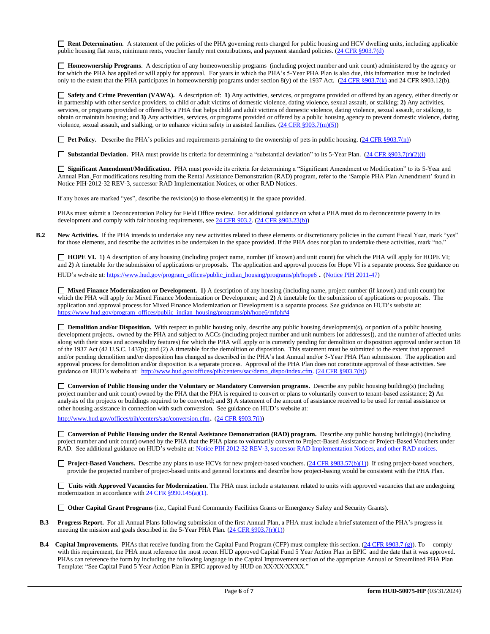**Rent Determination.** A statement of the policies of the PHA governing rents charged for public housing and HCV dwelling units, including applicable public housing flat rents, minimum rents, voucher family rent contributions, and payment standard policies. [\(24 CFR §903.7\(d\)](http://ecfr.gpoaccess.gov/cgi/t/text/text-idx?c=ecfr&sid=b44bf19bef93dd31287608d2c687e271&rgn=div5&view=text&node=24:4.0.3.1.3&idno=24#24:4.0.3.1.3.2.5.5)

 **Homeownership Programs**. A description of any homeownership programs (including project number and unit count) administered by the agency or for which the PHA has applied or will apply for approval. For years in which the PHA's 5-Year PHA Plan is also due, this information must be included only to the extent that the PHA participates in homeownership programs under section 8(y) of the 1937 Act. [\(24 CFR §903.7\(k\)](http://ecfr.gpoaccess.gov/cgi/t/text/text-idx?c=ecfr&sid=b44bf19bef93dd31287608d2c687e271&rgn=div5&view=text&node=24:4.0.3.1.3&idno=24#24:4.0.3.1.3.2.5.5) and 24 CFR §903.12(b).

 **Safety and Crime Prevention (VAWA).** A description of: **1)** Any activities, services, or programs provided or offered by an agency, either directly or in partnership with other service providers, to child or adult victims of domestic violence, dating violence, sexual assault, or stalking; **2)** Any activities, services, or programs provided or offered by a PHA that helps child and adult victims of domestic violence, dating violence, sexual assault, or stalking, to obtain or maintain housing; and **3)** Any activities, services, or programs provided or offered by a public housing agency to prevent domestic violence, dating violence, sexual assault, and stalking, or to enhance victim safety in assisted families.  $(24 \text{ CFR } \text{§}903.7(\text{m})(5))$ 

**Pet Policy.** Describe the PHA's policies and requirements pertaining to the ownership of pets in public housing. [\(24 CFR §903.7\(n\)\)](http://ecfr.gpoaccess.gov/cgi/t/text/text-idx?c=ecfr&sid=13734845220744370804c20da2294a03&rgn=div5&view=text&node=24:4.0.3.1.3&idno=24#24:4.0.3.1.3.2.5.5)

■ **Substantial Deviation.** PHA must provide its criteria for determining a "substantial deviation" to its 5-Year Plan. (24 CFR §903.7(r)(2)(i)

 **Significant Amendment/Modification**. PHA must provide its criteria for determining a "Significant Amendment or Modification" to its 5-Year and Annual Plan. For modifications resulting from the Rental Assistance Demonstration (RAD) program, refer to the 'Sample PHA Plan Amendment' found in Notice PIH-2012-32 REV-3, successor RAD Implementation Notices, or other RAD Notices.

If any boxes are marked "yes", describe the revision(s) to those element(s) in the space provided.

PHAs must submit a Deconcentration Policy for Field Office review. For additional guidance on what a PHA must do to deconcentrate poverty in its development and comply with fair housing requirements, se[e 24 CFR 903.2.](http://ecfr.gpoaccess.gov/cgi/t/text/text-idx?c=ecfr&sid=31b6a8e6f1110b36cc115eb6e4d5e3b4&rgn=div5&view=text&node=24:4.0.3.1.3&idno=24#24:4.0.3.1.3.1.5.2) [\(24 CFR §903.23\(b\)\)](http://ecfr.gpoaccess.gov/cgi/t/text/text-idx?c=ecfr&sid=13734845220744370804c20da2294a03&rgn=div5&view=text&node=24:4.0.3.1.3&idno=24#24:4.0.3.1.3.2.5.9)

**B.2** New Activities. If the PHA intends to undertake any new activities related to these elements or discretionary policies in the current Fiscal Year, mark "yes" for those elements, and describe the activities to be undertaken in the space provided. If the PHA does not plan to undertake these activities, mark "no."

 **HOPE VI.** 1**)** A description of any housing (including project name, number (if known) and unit count) for which the PHA will apply for HOPE VI; and 2) A timetable for the submission of applications or proposals. The application and approval process for Hope VI is a separate process. See guidance on HUD's website at[: https://www.hud.gov/program\\_offices/public\\_indian\\_housing/programs/ph/hope6](https://www.hud.gov/program_offices/public_indian_housing/programs/ph/hope6) . [\(Notice PIH 2011-47\)](http://www.hud.gov/offices/adm/hudclips/notices/pih/07pihnotices.cfm)

 **Mixed Finance Modernization or Development. 1)** A description of any housing (including name, project number (if known) and unit count) for which the PHA will apply for Mixed Finance Modernization or Development; and **2)** A timetable for the submission of applications or proposals. The application and approval process for Mixed Finance Modernization or Development is a separate process. See guidance on HUD's website at: [https://www.hud.gov/program\\_offices/public\\_indian\\_housing/programs/ph/hope6/mfph#4](https://www.hud.gov/program_offices/public_indian_housing/programs/ph/hope6/mfph#4)

**Demolition and/or Disposition.** With respect to public housing only, describe any public housing development(s), or portion of a public housing development projects, owned by the PHA and subject to ACCs (including project number and unit numbers [or addresses]), and the number of affected units along with their sizes and accessibility features) for which the PHA will apply or is currently pending for demolition or disposition approval under section 18 of the 1937 Act (42 U.S.C. 1437p); and (2) A timetable for the demolition or disposition. This statement must be submitted to the extent that approved and/or pending demolition and/or disposition has changed as described in the PHA's last Annual and/or 5-Year PHA Plan submission. The application and approval process for demolition and/or disposition is a separate process. Approval of the PHA Plan does not constitute approval of these activities. See guidance on HUD's website at: [http://www.hud.gov/offices/pih/centers/sac/demo\\_dispo/index.cfm.](http://www.hud.gov/offices/pih/centers/sac/demo_dispo/index.cfm) [\(24 CFR §903.7\(h\)\)](http://ecfr.gpoaccess.gov/cgi/t/text/text-idx?c=ecfr&sid=13734845220744370804c20da2294a03&rgn=div5&view=text&node=24:4.0.3.1.3&idno=24#24:4.0.3.1.3.2.5.5)

**Conversion of Public Housing under the Voluntary or Mandatory Conversion programs.** Describe any public housing building(s) (including project number and unit count) owned by the PHA that the PHA is required to convert or plans to voluntarily convert to tenant-based assistance; **2)** An analysis of the projects or buildings required to be converted; and **3)** A statement of the amount of assistance received to be used for rental assistance or other housing assistance in connection with such conversion. See guidance on HUD's website at:

<http://www.hud.gov/offices/pih/centers/sac/conversion.cfm>. [\(24 CFR §903.7\(j\)\)](http://ecfr.gpoaccess.gov/cgi/t/text/text-idx?c=ecfr&sid=13734845220744370804c20da2294a03&rgn=div5&view=text&node=24:4.0.3.1.3&idno=24#24:4.0.3.1.3.2.5.5)

**Conversion of Public Housing under the Rental Assistance Demonstration (RAD) program.** Describe any public housing building(s) (including project number and unit count) owned by the PHA that the PHA plans to voluntarily convert to Project-Based Assistance or Project-Based Vouchers under RAD. See additional guidance on HUD's website at: [Notice PIH 2012-32](http://portal.hud.gov/hudportal/HUD?src=/program_offices/administration/hudclips/notices/pih/12pihnotices) REV-3, successor RAD Implementation Notices, and other RAD notices.

□ Project-Based Vouchers. Describe any plans to use HCVs for new project-based vouchers. [\(24 CFR §983.57\(b\)\(1\)\)](http://ecfr.gpoaccess.gov/cgi/t/text/text-idx?c=ecfr&sid=b44bf19bef93dd31287608d2c687e271&rgn=div5&view=text&node=24:4.0.3.1.24&idno=24#24:4.0.3.1.24.2.41.7) If using project-based vouchers, provide the projected number of project-based units and general locations and describe how project-basing would be consistent with the PHA Plan.

□ Units with Approved Vacancies for Modernization. The PHA must include a statement related to units with approved vacancies that are undergoing modernization in accordance wit[h 24 CFR §990.145\(a\)\(1\).](http://www.ecfr.gov/cgi-bin/retrieveECFR?gp=1&SID=861f819542172e8e9912b8c1348ee120&ty=HTML&h=L&n=24y4.0.3.1.23&r=PART)

**Other Capital Grant Programs** (i.e., Capital Fund Community Facilities Grants or Emergency Safety and Security Grants).

- **B.3 Progress Report.** For all Annual Plans following submission of the first Annual Plan, a PHA must include a brief statement of the PHA's progress in meeting the mission and goals described in the 5-Year PHA Plan. [\(24 CFR §903.7\(r\)\(1\)\)](http://ecfr.gpoaccess.gov/cgi/t/text/text-idx?c=ecfr&sid=663ef5e048922c731853f513acbdfa81&rgn=div5&view=text&node=24:4.0.3.1.3&idno=24#24:4.0.3.1.3.2.5.5)
- **B.4 Capital Improvements.** PHAs that receive funding from the Capital Fund Program (CFP) must complete this section. [\(24 CFR §903.7 \(g\)\)](http://ecfr.gpoaccess.gov/cgi/t/text/text-idx?c=ecfr&sid=0885bb33f96a064e6519e07d66d87fd6&rgn=div5&view=text&node=24:4.0.3.1.3&idno=24#24:4.0.3.1.3.2.5.5). To comply with this requirement, the PHA must reference the most recent HUD approved Capital Fund 5 Year Action Plan in EPIC and the date that it was approved. PHAs can reference the form by including the following language in the Capital Improvement section of the appropriate Annual or Streamlined PHA Plan Template: "See Capital Fund 5 Year Action Plan in EPIC approved by HUD on XX/XX/XXXX."